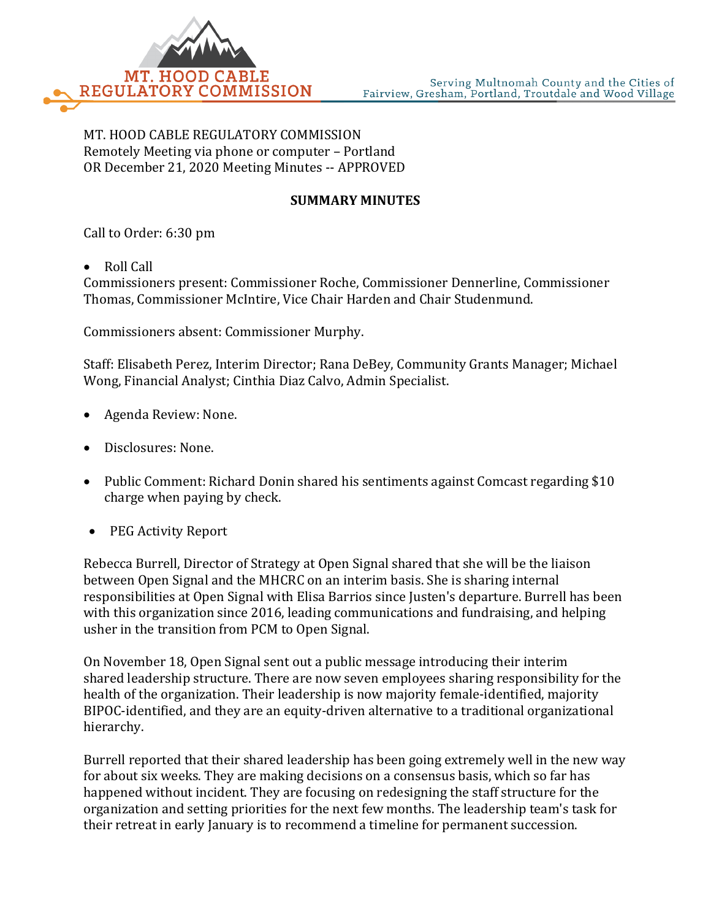

MT. HOOD CABLE REGULATORY COMMISSION Remotely Meeting via phone or computer – Portland OR December 21, 2020 Meeting Minutes -- APPROVED

## **SUMMARY MINUTES**

Call to Order: 6:30 pm

• Roll Call

Commissioners present: Commissioner Roche, Commissioner Dennerline, Commissioner Thomas, Commissioner McIntire, Vice Chair Harden and Chair Studenmund.

Commissioners absent: Commissioner Murphy.

Staff: Elisabeth Perez, Interim Director; Rana DeBey, Community Grants Manager; Michael Wong, Financial Analyst; Cinthia Diaz Calvo, Admin Specialist.

- Agenda Review: None.
- Disclosures: None.
- Public Comment: Richard Donin shared his sentiments against Comcast regarding \$10 charge when paying by check.
- PEG Activity Report

Rebecca Burrell, Director of Strategy at Open Signal shared that she will be the liaison between Open Signal and the MHCRC on an interim basis. She is sharing internal responsibilities at Open Signal with Elisa Barrios since Justen's departure. Burrell has been with this organization since 2016, leading communications and fundraising, and helping usher in the transition from PCM to Open Signal.

On November 18, Open Signal sent out a public message introducing their interim shared leadership structure. There are now seven employees sharing responsibility for the health of the organization. Their leadership is now majority female-identified, majority BIPOC-identified, and they are an equity-driven alternative to a traditional organizational hierarchy.

Burrell reported that their shared leadership has been going extremely well in the new way for about six weeks. They are making decisions on a consensus basis, which so far has happened without incident. They are focusing on redesigning the staff structure for the organization and setting priorities for the next few months. The leadership team's task for their retreat in early January is to recommend a timeline for permanent succession.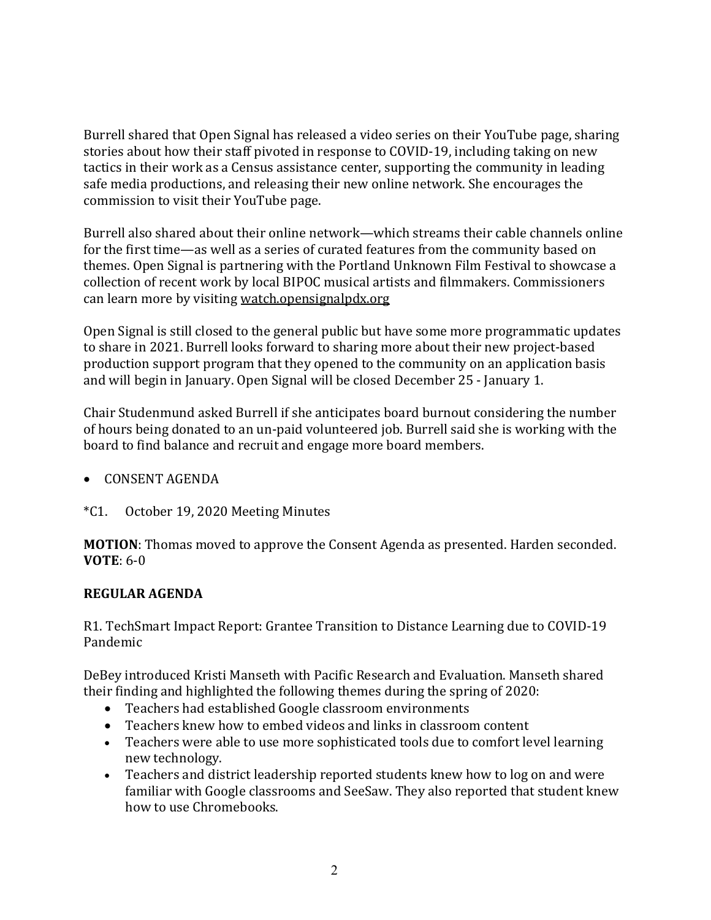Burrell shared that Open Signal has released a video series on their YouTube page, sharing stories about how their staff pivoted in response to COVID-19, including taking on new tactics in their work as a Census assistance center, supporting the community in leading safe media productions, and releasing their new online network. She encourages the commission to visit their YouTube page.

Burrell also shared about their online network—which streams their cable channels online for the first time—as well as a series of curated features from the community based on themes. Open Signal is partnering with the Portland Unknown Film Festival to showcase a collection of recent work by local BIPOC musical artists and filmmakers. Commissioners can learn more by visiting [watch.opensignalpdx.org](http://watch.opensignalpdx.org/)

Open Signal is still closed to the general public but have some more programmatic updates to share in 2021. Burrell looks forward to sharing more about their new project-based production support program that they opened to the community on an application basis and will begin in January. Open Signal will be closed December 25 - January 1.

Chair Studenmund asked Burrell if she anticipates board burnout considering the number of hours being donated to an un-paid volunteered job. Burrell said she is working with the board to find balance and recruit and engage more board members.

# • CONSENT AGENDA

\*C1. October 19, 2020 Meeting Minutes

**MOTION**: Thomas moved to approve the Consent Agenda as presented. Harden seconded. **VOTE**: 6-0

## **REGULAR AGENDA**

R1. TechSmart Impact Report: Grantee Transition to Distance Learning due to COVID-19 Pandemic

DeBey introduced Kristi Manseth with Pacific Research and Evaluation. Manseth shared their finding and highlighted the following themes during the spring of 2020:

- Teachers had established Google classroom environments
- Teachers knew how to embed videos and links in classroom content
- Teachers were able to use more sophisticated tools due to comfort level learning new technology.
- Teachers and district leadership reported students knew how to log on and were familiar with Google classrooms and SeeSaw. They also reported that student knew how to use Chromebooks.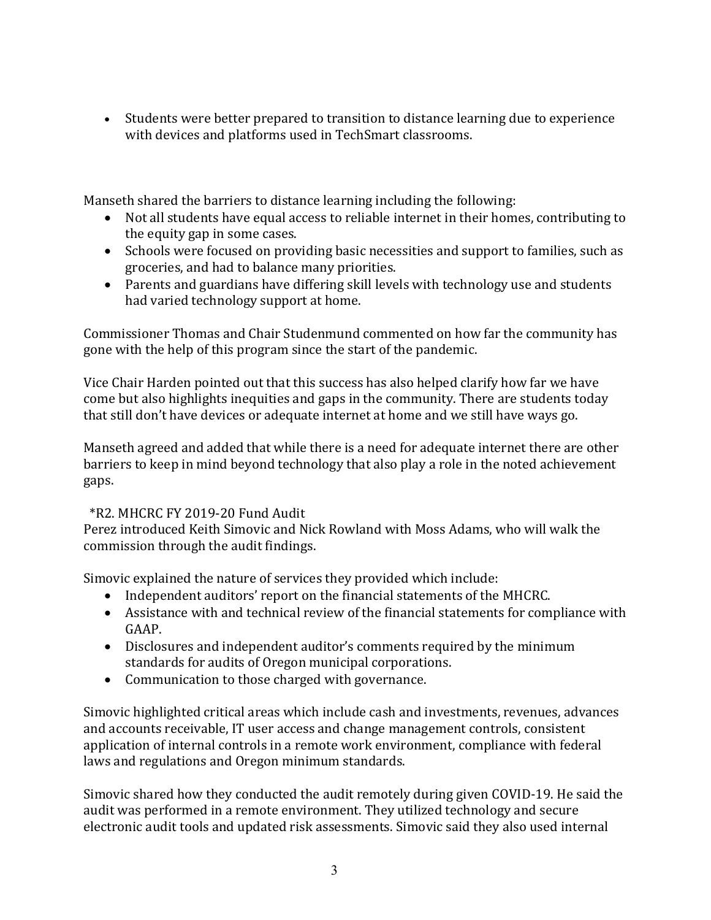• Students were better prepared to transition to distance learning due to experience with devices and platforms used in TechSmart classrooms.

Manseth shared the barriers to distance learning including the following:

- Not all students have equal access to reliable internet in their homes, contributing to the equity gap in some cases.
- Schools were focused on providing basic necessities and support to families, such as groceries, and had to balance many priorities.
- Parents and guardians have differing skill levels with technology use and students had varied technology support at home.

Commissioner Thomas and Chair Studenmund commented on how far the community has gone with the help of this program since the start of the pandemic.

Vice Chair Harden pointed out that this success has also helped clarify how far we have come but also highlights inequities and gaps in the community. There are students today that still don't have devices or adequate internet at home and we still have ways go.

Manseth agreed and added that while there is a need for adequate internet there are other barriers to keep in mind beyond technology that also play a role in the noted achievement gaps.

# \*R2. MHCRC FY 2019-20 Fund Audit

Perez introduced Keith Simovic and Nick Rowland with Moss Adams, who will walk the commission through the audit findings.

Simovic explained the nature of services they provided which include:

- Independent auditors' report on the financial statements of the MHCRC.
- Assistance with and technical review of the financial statements for compliance with GAAP.
- Disclosures and independent auditor's comments required by the minimum standards for audits of Oregon municipal corporations.
- Communication to those charged with governance.

Simovic highlighted critical areas which include cash and investments, revenues, advances and accounts receivable, IT user access and change management controls, consistent application of internal controls in a remote work environment, compliance with federal laws and regulations and Oregon minimum standards.

Simovic shared how they conducted the audit remotely during given COVID-19. He said the audit was performed in a remote environment. They utilized technology and secure electronic audit tools and updated risk assessments. Simovic said they also used internal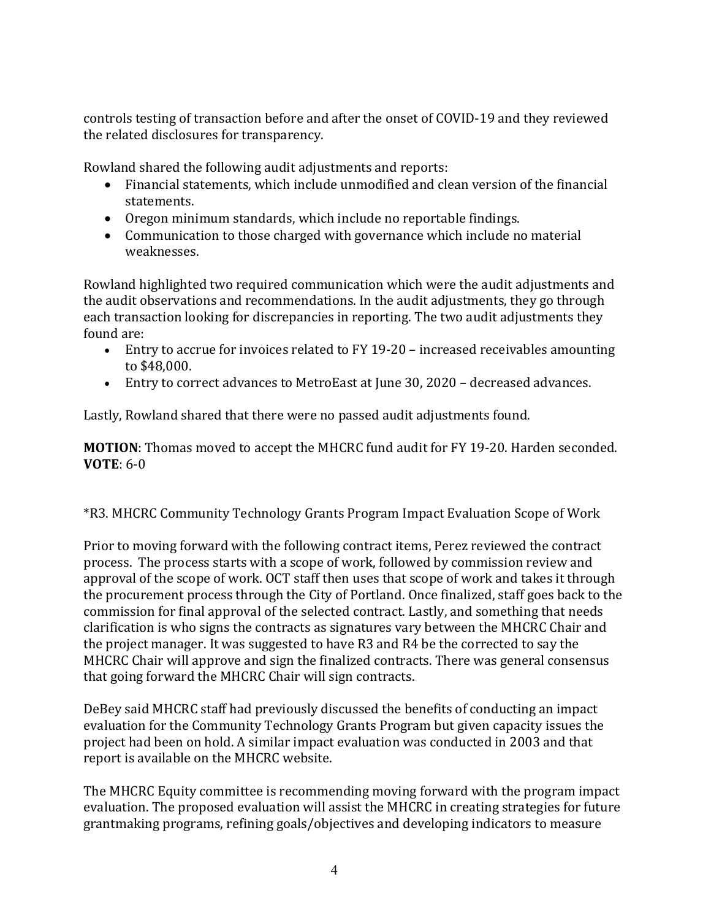controls testing of transaction before and after the onset of COVID-19 and they reviewed the related disclosures for transparency.

Rowland shared the following audit adjustments and reports:

- Financial statements, which include unmodified and clean version of the financial statements.
- Oregon minimum standards, which include no reportable findings.
- Communication to those charged with governance which include no material weaknesses.

Rowland highlighted two required communication which were the audit adjustments and the audit observations and recommendations. In the audit adjustments, they go through each transaction looking for discrepancies in reporting. The two audit adjustments they found are:

- Entry to accrue for invoices related to FY 19-20 increased receivables amounting to \$48,000.
- Entry to correct advances to MetroEast at June 30, 2020 decreased advances.

Lastly, Rowland shared that there were no passed audit adjustments found.

**MOTION**: Thomas moved to accept the MHCRC fund audit for FY 19-20. Harden seconded. **VOTE**: 6-0

\*R3. MHCRC Community Technology Grants Program Impact Evaluation Scope of Work

Prior to moving forward with the following contract items, Perez reviewed the contract process. The process starts with a scope of work, followed by commission review and approval of the scope of work. OCT staff then uses that scope of work and takes it through the procurement process through the City of Portland. Once finalized, staff goes back to the commission for final approval of the selected contract. Lastly, and something that needs clarification is who signs the contracts as signatures vary between the MHCRC Chair and the project manager. It was suggested to have R3 and R4 be the corrected to say the MHCRC Chair will approve and sign the finalized contracts. There was general consensus that going forward the MHCRC Chair will sign contracts.

DeBey said MHCRC staff had previously discussed the benefits of conducting an impact evaluation for the Community Technology Grants Program but given capacity issues the project had been on hold. A similar impact evaluation was conducted in 2003 and that report is available on the MHCRC website.

The MHCRC Equity committee is recommending moving forward with the program impact evaluation. The proposed evaluation will assist the MHCRC in creating strategies for future grantmaking programs, refining goals/objectives and developing indicators to measure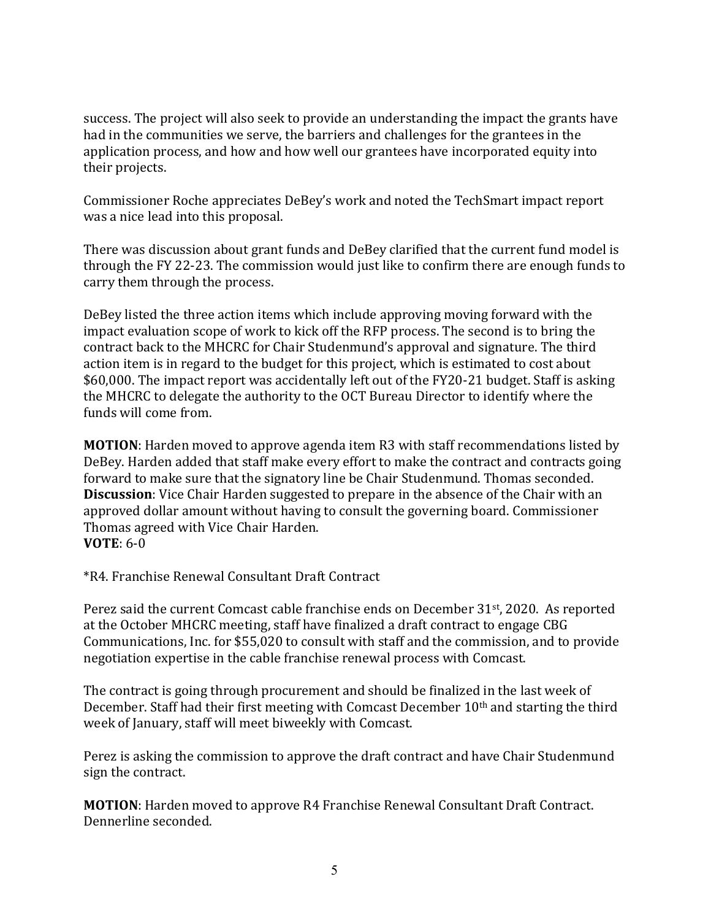success. The project will also seek to provide an understanding the impact the grants have had in the communities we serve, the barriers and challenges for the grantees in the application process, and how and how well our grantees have incorporated equity into their projects.

Commissioner Roche appreciates DeBey's work and noted the TechSmart impact report was a nice lead into this proposal.

There was discussion about grant funds and DeBey clarified that the current fund model is through the FY 22-23. The commission would just like to confirm there are enough funds to carry them through the process.

DeBey listed the three action items which include approving moving forward with the impact evaluation scope of work to kick off the RFP process. The second is to bring the contract back to the MHCRC for Chair Studenmund's approval and signature. The third action item is in regard to the budget for this project, which is estimated to cost about \$60,000. The impact report was accidentally left out of the FY20-21 budget. Staff is asking the MHCRC to delegate the authority to the OCT Bureau Director to identify where the funds will come from.

**MOTION**: Harden moved to approve agenda item R3 with staff recommendations listed by DeBey. Harden added that staff make every effort to make the contract and contracts going forward to make sure that the signatory line be Chair Studenmund. Thomas seconded. **Discussion**: Vice Chair Harden suggested to prepare in the absence of the Chair with an approved dollar amount without having to consult the governing board. Commissioner Thomas agreed with Vice Chair Harden. **VOTE**: 6-0

\*R4. Franchise Renewal Consultant Draft Contract

Perez said the current Comcast cable franchise ends on December 31<sup>st</sup>, 2020. As reported at the October MHCRC meeting, staff have finalized a draft contract to engage CBG Communications, Inc. for \$55,020 to consult with staff and the commission, and to provide negotiation expertise in the cable franchise renewal process with Comcast.

The contract is going through procurement and should be finalized in the last week of December. Staff had their first meeting with Comcast December 10<sup>th</sup> and starting the third week of January, staff will meet biweekly with Comcast.

Perez is asking the commission to approve the draft contract and have Chair Studenmund sign the contract.

**MOTION**: Harden moved to approve R4 Franchise Renewal Consultant Draft Contract. Dennerline seconded.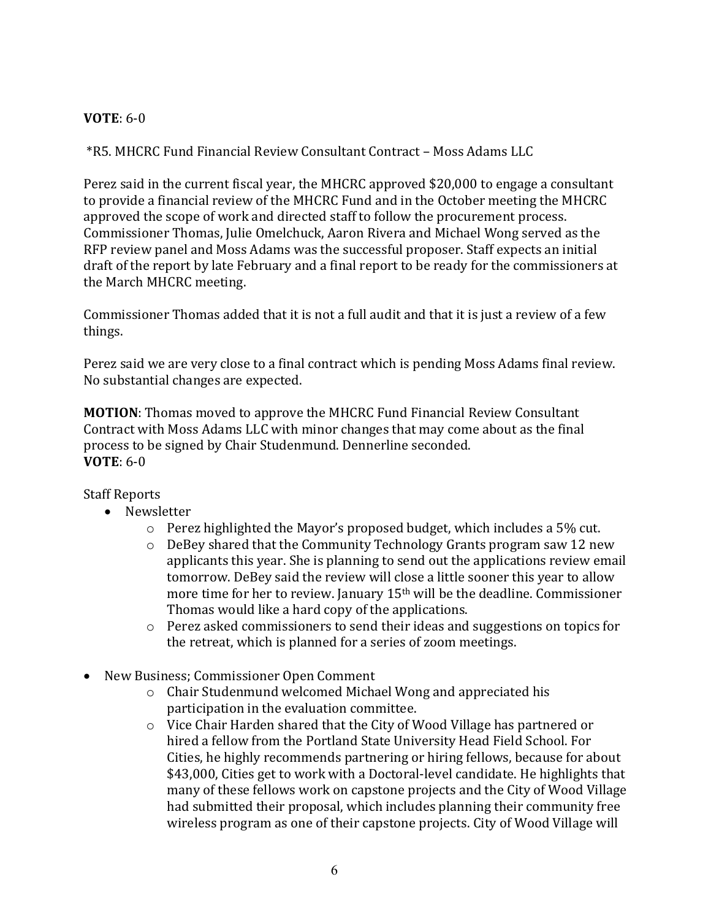# **VOTE**: 6-0

\*R5. MHCRC Fund Financial Review Consultant Contract – Moss Adams LLC

Perez said in the current fiscal year, the MHCRC approved \$20,000 to engage a consultant to provide a financial review of the MHCRC Fund and in the October meeting the MHCRC approved the scope of work and directed staff to follow the procurement process. Commissioner Thomas, Julie Omelchuck, Aaron Rivera and Michael Wong served as the RFP review panel and Moss Adams was the successful proposer. Staff expects an initial draft of the report by late February and a final report to be ready for the commissioners at the March MHCRC meeting.

Commissioner Thomas added that it is not a full audit and that it is just a review of a few things.

Perez said we are very close to a final contract which is pending Moss Adams final review. No substantial changes are expected.

**MOTION**: Thomas moved to approve the MHCRC Fund Financial Review Consultant Contract with Moss Adams LLC with minor changes that may come about as the final process to be signed by Chair Studenmund. Dennerline seconded. **VOTE**: 6-0

## Staff Reports

- Newsletter
	- $\circ$  Perez highlighted the Mayor's proposed budget, which includes a 5% cut.
	- o DeBey shared that the Community Technology Grants program saw 12 new applicants this year. She is planning to send out the applications review email tomorrow. DeBey said the review will close a little sooner this year to allow more time for her to review. January 15th will be the deadline. Commissioner Thomas would like a hard copy of the applications.
	- o Perez asked commissioners to send their ideas and suggestions on topics for the retreat, which is planned for a series of zoom meetings.
- New Business; Commissioner Open Comment
	- o Chair Studenmund welcomed Michael Wong and appreciated his participation in the evaluation committee.
	- o Vice Chair Harden shared that the City of Wood Village has partnered or hired a fellow from the Portland State University Head Field School. For Cities, he highly recommends partnering or hiring fellows, because for about \$43,000, Cities get to work with a Doctoral-level candidate. He highlights that many of these fellows work on capstone projects and the City of Wood Village had submitted their proposal, which includes planning their community free wireless program as one of their capstone projects. City of Wood Village will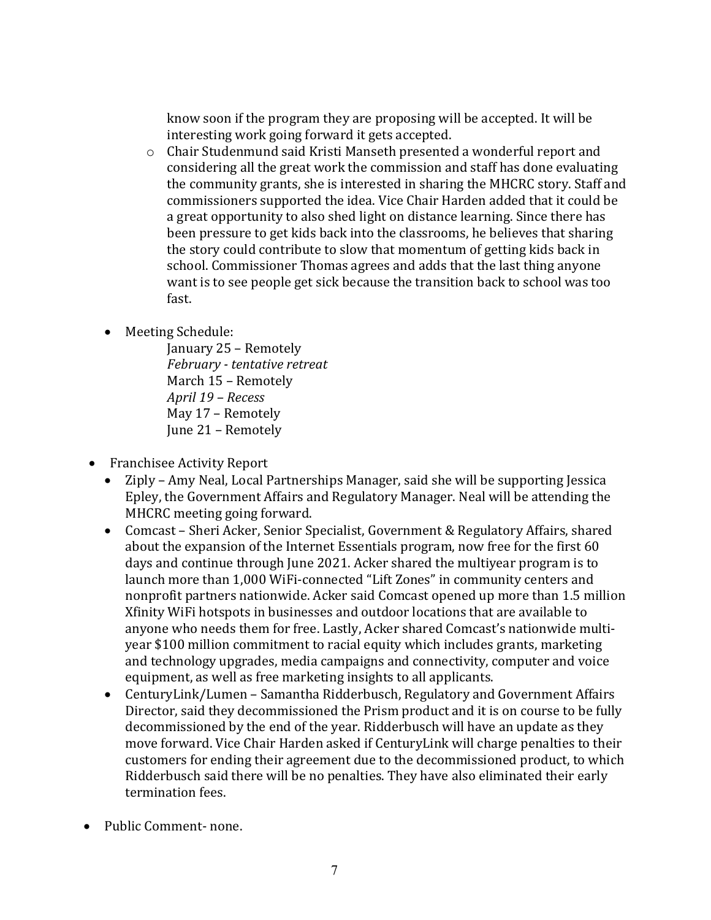know soon if the program they are proposing will be accepted. It will be interesting work going forward it gets accepted.

- o Chair Studenmund said Kristi Manseth presented a wonderful report and considering all the great work the commission and staff has done evaluating the community grants, she is interested in sharing the MHCRC story. Staff and commissioners supported the idea. Vice Chair Harden added that it could be a great opportunity to also shed light on distance learning. Since there has been pressure to get kids back into the classrooms, he believes that sharing the story could contribute to slow that momentum of getting kids back in school. Commissioner Thomas agrees and adds that the last thing anyone want is to see people get sick because the transition back to school was too fast.
- Meeting Schedule:

January 25 – Remotely *February - tentative retreat*  March 15 – Remotely *April 19 – Recess* May 17 – Remotely June 21 – Remotely

- Franchisee Activity Report<br>• Ziply Amy Neal, Local F
	- Ziply Amy Neal, Local Partnerships Manager, said she will be supporting Jessica Epley, the Government Affairs and Regulatory Manager. Neal will be attending the MHCRC meeting going forward.
	- Comcast Sheri Acker, Senior Specialist, Government & Regulatory Affairs, shared about the expansion of the Internet Essentials program, now free for the first 60 days and continue through June 2021. Acker shared the multiyear program is to launch more than 1,000 WiFi-connected "Lift Zones" in community centers and nonprofit partners nationwide. Acker said Comcast opened up more than 1.5 million Xfinity WiFi hotspots in businesses and outdoor locations that are available to anyone who needs them for free. Lastly, Acker shared Comcast's nationwide multiyear \$100 million commitment to racial equity which includes grants, marketing and technology upgrades, media campaigns and connectivity, computer and voice equipment, as well as free marketing insights to all applicants.
	- CenturyLink/Lumen Samantha Ridderbusch, Regulatory and Government Affairs Director, said they decommissioned the Prism product and it is on course to be fully decommissioned by the end of the year. Ridderbusch will have an update as they move forward. Vice Chair Harden asked if CenturyLink will charge penalties to their customers for ending their agreement due to the decommissioned product, to which Ridderbusch said there will be no penalties. They have also eliminated their early termination fees.
- Public Comment- none.